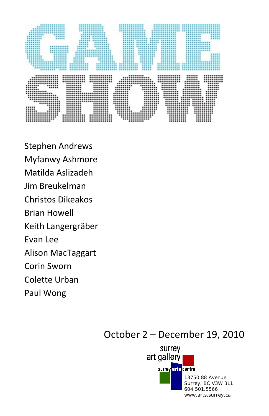

Stephen Andrews Myfanwy Ashmore Matilda Aslizadeh Jim Breukelman Christos Dikeakos Brian Howell Keith Langergräber Evan Lee Alison MacTaggart Corin Sworn Colette Urban Paul Wong

# October 2 – December 19, 2010

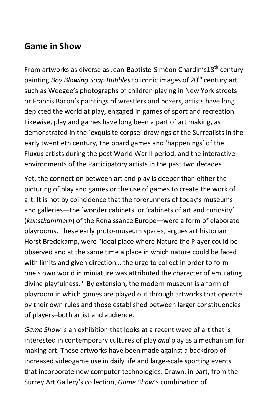## **Game in Show**

From artworks as diverse as Jean-Baptiste-Siméon Chardin's18<sup>th</sup> centurv painting *Boy Blowing Soap Bubbles* to iconic images of 20<sup>th</sup> century art such as Weegee's photographs of children playing in New York streets or Francis Bacon's paintings of wrestlers and boxers, artists have long depicted the world at play, engaged in games of sport and recreation. Likewise, play and games have long been a part of art making, as demonstrated in the `exquisite corpse' drawings of the Surrealists in the early twentieth century, the board games and 'happenings' of the Fluxus artists during the post World War II period, and the interactive environments of the Participatory artists in the past two decades.

Yet, the connection between art and play is deeper than either the picturing of play and games or the use of games to create the work of art. It is not by coincidence that the forerunners of today's museums and galleries—the `wonder cabinets' or 'cabinets of art and curiosity' (*kunstkammern*) of the Renaissance Europe—were a form of elaborate playrooms. These early proto-museum spaces, argues art historian Horst Bredekamp, were "ideal place where Nature the Player could be observed and at the same time a place in which nature could be faced with limits and given direction… the urge to collect in order to form one's own world in miniature was attributed the character of emulating d[i](#page-11-0)vine playfulness."<sup>i</sup> By extension, the modern museum is a form of playroom in which games are played out through artworks that operate by their own rules and those established between larger constituencies of players–both artist and audience.

*Game Show* is an exhibition that looks at a recent wave of art that is interested in contemporary cultures of play *and* play as a mechanism for making art. These artworks have been made against a backdrop of increased videogame use in daily life and large-scale sporting events that incorporate new computer technologies. Drawn, in part, from the Surrey Art Gallery's collection, *Game Show*'s combination of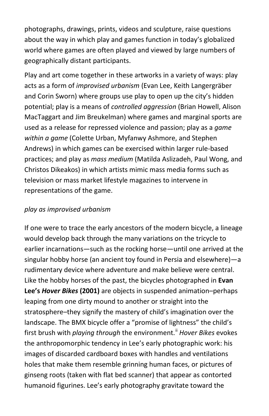photographs, drawings, prints, videos and sculpture, raise questions about the way in which play and games function in today's globalized world where games are often played and viewed by large numbers of geographically distant participants.

Play and art come together in these artworks in a variety of ways: play acts as a form of *improvised urbanism* (Evan Lee, Keith Langergräber and Corin Sworn) where groups use play to open up the city's hidden potential; play is a means of *controlled aggression* (Brian Howell, Alison MacTaggart and Jim Breukelman) where games and marginal sports are used as a release for repressed violence and passion; play as a *game within a game* (Colette Urban, Myfanwy Ashmore, and Stephen Andrews) in which games can be exercised within larger rule-based practices; and play as *mass medium* (Matilda Aslizadeh, Paul Wong, and Christos Dikeakos) in which artists mimic mass media forms such as television or mass market lifestyle magazines to intervene in representations of the game.

## *play as improvised urbanism*

If one were to trace the early ancestors of the modern bicycle, a lineage would develop back through the many variations on the tricycle to earlier incarnations—such as the rocking horse—until one arrived at the singular hobby horse (an ancient toy found in Persia and elsewhere)—a rudimentary device where adventure and make believe were central. Like the hobby horses of the past, the bicycles photographed in **Evan Lee's** *Hover Bikes* **(2001)** are objects in suspended animation–perhaps leaping from one dirty mound to another or straight into the stratosphere–they signify the mastery of child's imagination over the landscape. The BMX bicycle offer a "promise of lightness" the child's first brush with *playing through* the environment. [ii](#page-11-1) *Hover Bikes* evokes the anthropomorphic tendency in Lee's early photographic work: his images of discarded cardboard boxes with handles and ventilations holes that make them resemble grinning human faces, or pictures of ginseng roots (taken with flat bed scanner) that appear as contorted humanoid figurines. Lee's early photography gravitate toward the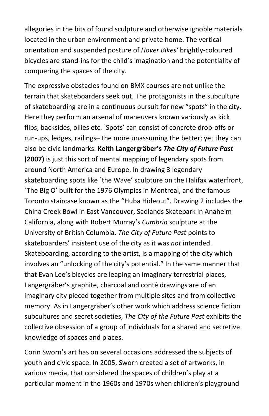allegories in the bits of found sculpture and otherwise ignoble materials located in the urban environment and private home. The vertical orientation and suspended posture of *Hover Bikes'* brightly-coloured bicycles are stand-ins for the child's imagination and the potentiality of conquering the spaces of the city.

The expressive obstacles found on BMX courses are not unlike the terrain that skateboarders seek out. The protagonists in the subculture of skateboarding are in a continuous pursuit for new "spots" in the city. Here they perform an arsenal of maneuvers known variously as kick flips, backsides, ollies etc. `Spots' can consist of concrete drop-offs or run-ups, ledges, railings– the more unassuming the better; yet they can also be civic landmarks. **Keith Langergräber's** *The City of Future Past* **(2007)** is just this sort of mental mapping of legendary spots from around North America and Europe. In drawing 3 legendary skateboarding spots like `the Wave' sculpture on the Halifax waterfront, `The Big O' built for the 1976 Olympics in Montreal, and the famous Toronto staircase known as the "Huba Hideout". Drawing 2 includes the China Creek Bowl in East Vancouver, Sadlands Skatepark in Anaheim California, along with Robert Murray's *Cumbria* sculpture at the University of British Columbia. *The City of Future Past* points to skateboarders' insistent use of the city as it was *not* intended. Skateboarding, according to the artist, is a mapping of the city which involves an "unlocking of the city's potential." In the same manner that that Evan Lee's bicycles are leaping an imaginary terrestrial places, Langergräber's graphite, charcoal and conté drawings are of an imaginary city pieced together from multiple sites and from collective memory. As in Langergräber's other work which address science fiction subcultures and secret societies, *The City of the Future Past* exhibits the collective obsession of a group of individuals for a shared and secretive knowledge of spaces and places.

Corin Sworn's art has on several occasions addressed the subjects of youth and civic space. In 2005, Sworn created a set of artworks, in various media, that considered the spaces of children's play at a particular moment in the 1960s and 1970s when children's playground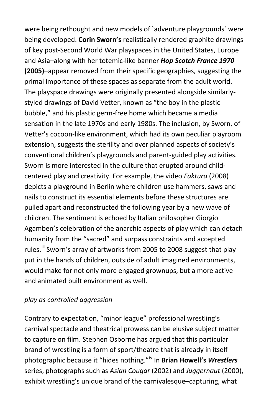were being rethought and new models of `adventure playgrounds` were being developed. **Corin Sworn's** realistically rendered graphite drawings of key post-Second World War playspaces in the United States, Europe and Asia–along with her totemic-like banner *Hop Scotch France 1970* **(2005)**–appear removed from their specific geographies, suggesting the primal importance of these spaces as separate from the adult world. The playspace drawings were originally presented alongside similarlystyled drawings of David Vetter, known as "the boy in the plastic bubble," and his plastic germ-free home which became a media sensation in the late 1970s and early 1980s. The inclusion, by Sworn, of Vetter's cocoon-like environment, which had its own peculiar playroom extension, suggests the sterility and over planned aspects of society's conventional children's playgrounds and parent-guided play activities. Sworn is more interested in the culture that erupted around childcentered play and creativity. For example, the video *Faktura* (2008) depicts a playground in Berlin where children use hammers, saws and nails to construct its essential elements before these structures are pulled apart and reconstructed the following year by a new wave of children. The sentiment is echoed by Italian philosopher Giorgio Agamben's celebration of the anarchic aspects of play which can detach humanity from the "sacred" and surpass constraints and accepted rules.<sup>ii</sup> Sworn's array of artworks from 2005 to 2008 suggest that play put in the hands of children, outside of adult imagined environments, would make for not only more engaged grownups, but a more active and animated built environment as well.

#### *play as controlled aggression*

Contrary to expectation, "minor league" professional wrestling's carnival spectacle and theatrical prowess can be elusive subject matter to capture on film. Stephen Osborne has argued that this particular brand of wrestling is a form of sport/theatre that is already in itself photographic because it "hides nothing."[iv](#page-11-3) In **Brian Howell's** *Wrestlers* series, photographs such as *Asian Cougar* (2002) and *Juggernaut* (2000), exhibit wrestling's unique brand of the carnivalesque–capturing, what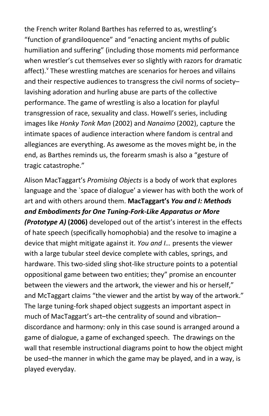the French writer Roland Barthes has referred to as, wrestling's "function of grandiloquence" and "enacting ancient myths of public humiliation and suffering" (including those moments mid performance when wrestler's cut themselves ever so slightly with razors for dramatic affect). <sup>V</sup> These wrestling matches are scenarios for heroes and [v](#page-11-4)illains and their respective audiences to transgress the civil norms of society– lavishing adoration and hurling abuse are parts of the collective performance. The game of wrestling is also a location for playful transgression of race, sexuality and class. Howell's series, including images like *Honky Tonk Man* (2002) and *Nanaimo* (2002), capture the intimate spaces of audience interaction where fandom is central and allegiances are everything. As awesome as the moves might be, in the end, as Barthes reminds us, the forearm smash is also a "gesture of tragic catastrophe."

Alison MacTaggart's *Promising Objects* is a body of work that explores language and the `space of dialogue' a viewer has with both the work of art and with others around them. **MacTaggart's** *You and I: Methods and Embodiments for One Tuning-Fork-Like Apparatus or More (Prototype A)* **(2006)** developed out of the artist's interest in the effects of hate speech (specifically homophobia) and the resolve to imagine a device that might mitigate against it. *You and I…* presents the viewer with a large tubular steel device complete with cables, springs, and hardware. This two-sided sling shot-like structure points to a potential oppositional game between two entities; they" promise an encounter between the viewers and the artwork, the viewer and his or herself," and McTaggart claims "the viewer and the artist by way of the artwork." The large tuning-fork shaped object suggests an important aspect in much of MacTaggart's art–the centrality of sound and vibration– discordance and harmony: only in this case sound is arranged around a game of dialogue, a game of exchanged speech. The drawings on the wall that resemble instructional diagrams point to how the object might be used–the manner in which the game may be played, and in a way, is played everyday.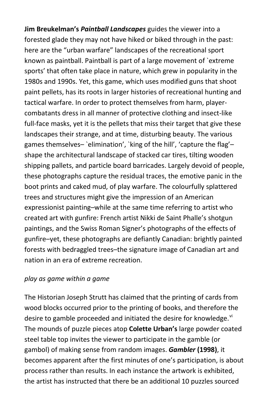**Jim Breukelman's** *Paintball Landscapes* guides the viewer into a forested glade they may not have hiked or biked through in the past: here are the "urban warfare" landscapes of the recreational sport known as paintball. Paintball is part of a large movement of `extreme sports' that often take place in nature, which grew in popularity in the 1980s and 1990s. Yet, this game, which uses modified guns that shoot paint pellets, has its roots in larger histories of recreational hunting and tactical warfare. In order to protect themselves from harm, playercombatants dress in all manner of protective clothing and insect-like full-face masks, yet it is the pellets that miss their target that give these landscapes their strange, and at time, disturbing beauty. The various games themselves– `elimination', `king of the hill', 'capture the flag'– shape the architectural landscape of stacked car tires, tilting wooden shipping pallets, and particle board barricades. Largely devoid of people, these photographs capture the residual traces, the emotive panic in the boot prints and caked mud, of play warfare. The colourfully splattered trees and structures might give the impression of an American expressionist painting–while at the same time referring to artist who created art with gunfire: French artist Nikki de Saint Phalle's shotgun paintings, and the Swiss Roman Signer's photographs of the effects of gunfire–yet, these photographs are defiantly Canadian: brightly painted forests with bedraggled trees–the signature image of Canadian art and nation in an era of extreme recreation.

## *play as game within a game*

The Historian Joseph Strutt has claimed that the printing of cards from wood blocks occurred prior to the printing of books, and therefore the desire to gamble proceeded and initiated the desire for knowledge.<sup>[vi](#page-11-5)</sup> The mounds of puzzle pieces atop **Colette Urban's** large powder coated steel table top invites the viewer to participate in the gamble (or gambol) of making sense from random images. *Gambler* **(1998)**, it becomes apparent after the first minutes of one's participation, is about process rather than results. In each instance the artwork is exhibited, the artist has instructed that there be an additional 10 puzzles sourced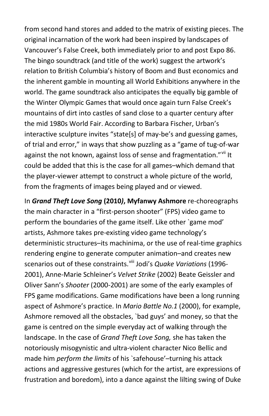from second hand stores and added to the matrix of existing pieces. The original incarnation of the work had been inspired by landscapes of Vancouver's False Creek, both immediately prior to and post Expo 86. The bingo soundtrack (and title of the work) suggest the artwork's relation to British Columbia's history of Boom and Bust economics and the inherent gamble in mounting all World Exhibitions anywhere in the world. The game soundtrack also anticipates the equally big gamble of the Winter Olympic Games that would once again turn False Creek's mountains of dirt into castles of sand close to a quarter century after the mid 1980s World Fair. According to Barbara Fischer, Urban's interactive sculpture invites "state[s] of may-be's and guessing games, of trial and error," in ways that show puzzling as a "game of tug-of-war against the not known, against loss of sense and fragmentation."<sup>[vii](#page-11-6)</sup>lt could be added that this is the case for all games–which demand that the player-viewer attempt to construct a whole picture of the world, from the fragments of images being played and or viewed.

In *Grand Theft Love Song* **(2010***)***, Myfanwy Ashmore** re-choreographs the main character in a "first-person shooter" (FPS) video game to perform the boundaries of the game itself. Like other `game mod' artists, Ashmore takes pre-existing video game technology's deterministic structures–its machinima, or the use of real-time graphics rendering engine to generate computer animation–and creates new scenarios out of these constraints.<sup>[viii](#page-11-7)</sup> Jodi's *Quake Variations* (1996-2001), Anne-Marie Schleiner's *Velvet Strike* (2002) Beate Geissler and Oliver Sann's *Shooter* (2000-2001) are some of the early examples of FPS game modifications. Game modifications have been a long running aspect of Ashmore's practice. In *Mario Battle No.1* (2000), for example, Ashmore removed all the obstacles, `bad guys' and money, so that the game is centred on the simple everyday act of walking through the landscape. In the case of *Grand Theft Love Song,* she has taken the notoriously misogynistic and ultra-violent character Nico Bellic and made him *perform the limits* of his `safehouse'–turning his attack actions and aggressive gestures (which for the artist, are expressions of frustration and boredom), into a dance against the lilting swing of Duke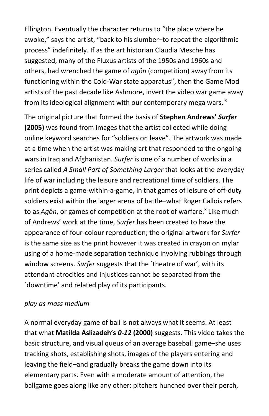Ellington. Eventually the character returns to "the place where he awoke," says the artist, "back to his slumber–to repeat the algorithmic process" indefinitely. If as the art historian Claudia Mesche has suggested, many of the Fluxus artists of the 1950s and 1960s and others, had wrenched the game of *agôn* (competition) away from its functioning within the Cold-War state apparatus", then the Game Mod artists of the past decade like Ashmore, invert the video war game away from its ideological alignment with our contemporary mega wars.<sup>[ix](#page-11-8)</sup>

The original picture that formed the basis of **Stephen Andrews'** *Surfer* **(2005)** was found from images that the artist collected while doing online keyword searches for "soldiers on leave". The artwork was made at a time when the artist was making art that responded to the ongoing wars in Iraq and Afghanistan. *Surfer* is one of a number of works in a series called *A Small Part of Something Larger* that looks at the everyday life of war including the leisure and recreational time of soldiers. The print depicts a game-within-a-game, in that games of leisure of off-duty soldiers exist within the larger arena of battle–what Roger Callois refers to as *Agôn*, or games of competition at the root of warfare.<sup>[x](#page-11-9)</sup> Like much of Andrews' work at the time, *Surfer* has been created to have the appearance of four-colour reproduction; the original artwork for *Surfer* is the same size as the print however it was created in crayon on mylar using of a home-made separation technique involving rubbings through window screens. *Surfer* suggests that the `theatre of war', with its attendant atrocities and injustices cannot be separated from the `downtime' and related play of its participants.

#### *play as mass medium*

A normal everyday game of ball is not always what it seems. At least that what **Matilda Aslizadeh's** *0-12* **(2000)** suggests. This video takes the basic structure, and visual queus of an average baseball game–she uses tracking shots, establishing shots, images of the players entering and leaving the field–and gradually breaks the game down into its elementary parts. Even with a moderate amount of attention, the ballgame goes along like any other: pitchers hunched over their perch,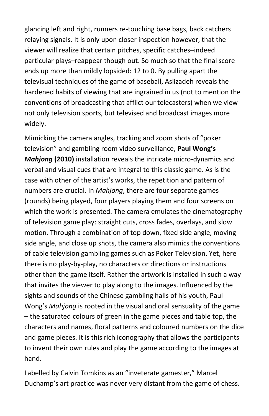glancing left and right, runners re-touching base bags, back catchers relaying signals. It is only upon closer inspection however, that the viewer will realize that certain pitches, specific catches–indeed particular plays–reappear though out. So much so that the final score ends up more than mildly lopsided: 12 to 0. By pulling apart the televisual techniques of the game of baseball, Aslizadeh reveals the hardened habits of viewing that are ingrained in us (not to mention the conventions of broadcasting that afflict our telecasters) when we view not only television sports, but televised and broadcast images more widely.

Mimicking the camera angles, tracking and zoom shots of "poker television" and gambling room video surveillance, **Paul Wong's**  *Mahjong* **(2010)** installation reveals the intricate micro-dynamics and verbal and visual cues that are integral to this classic game. As is the case with other of the artist's works, the repetition and pattern of numbers are crucial. In *Mahjong*, there are four separate games (rounds) being played, four players playing them and four screens on which the work is presented. The camera emulates the cinematography of television game play: straight cuts, cross fades, overlays, and slow motion. Through a combination of top down, fixed side angle, moving side angle, and close up shots, the camera also mimics the conventions of cable television gambling games such as Poker Television. Yet, here there is no play-by-play, no characters or directions or instructions other than the game itself. Rather the artwork is installed in such a way that invites the viewer to play along to the images. Influenced by the sights and sounds of the Chinese gambling halls of his youth, Paul Wong's *Mahjong* is rooted in the visual and oral sensuality of the game – the saturated colours of green in the game pieces and table top, the characters and names, floral patterns and coloured numbers on the dice and game pieces. It is this rich iconography that allows the participants to invent their own rules and play the game according to the images at hand.

Labelled by Calvin Tomkins as an "inveterate gamester," Marcel Duchamp's art practice was never very distant from the game of chess.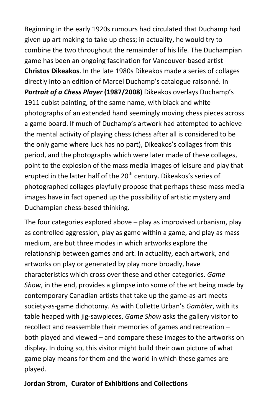Beginning in the early 1920s rumours had circulated that Duchamp had given up art making to take up chess; in actuality, he would try to combine the two throughout the remainder of his life. The Duchampian game has been an ongoing fascination for Vancouver-based artist **Christos Dikeakos**. In the late 1980s Dikeakos made a series of collages directly into an edition of Marcel Duchamp's catalogue raisonné. In *Portrait of a Chess Player* **(1987/2008)** Dikeakos overlays Duchamp's 1911 cubist painting, of the same name, with black and white photographs of an extended hand seemingly moving chess pieces across a game board. If much of Duchamp's artwork had attempted to achieve the mental activity of playing chess (chess after all is considered to be the only game where luck has no part), Dikeakos's collages from this period, and the photographs which were later made of these collages, point to the explosion of the mass media images of leisure and play that erupted in the latter half of the 20<sup>th</sup> century. Dikeakos's series of photographed collages playfully propose that perhaps these mass media images have in fact opened up the possibility of artistic mystery and Duchampian chess-based thinking.

The four categories explored above – play as improvised urbanism, play as controlled aggression, play as game within a game, and play as mass medium, are but three modes in which artworks explore the relationship between games and art. In actuality, each artwork, and artworks on play or generated by play more broadly, have characteristics which cross over these and other categories. *Game Show*, in the end, provides a glimpse into some of the art being made by contemporary Canadian artists that take up the game-as-art meets society-as-game dichotomy. As with Collette Urban's *Gambler*, with its table heaped with jig-sawpieces, *Game Show* asks the gallery visitor to recollect and reassemble their memories of games and recreation – both played and viewed – and compare these images to the artworks on display. In doing so, this visitor might build their own picture of what game play means for them and the world in which these games are played.

## **Jordan Strom, Curator of Exhibitions and Collections**